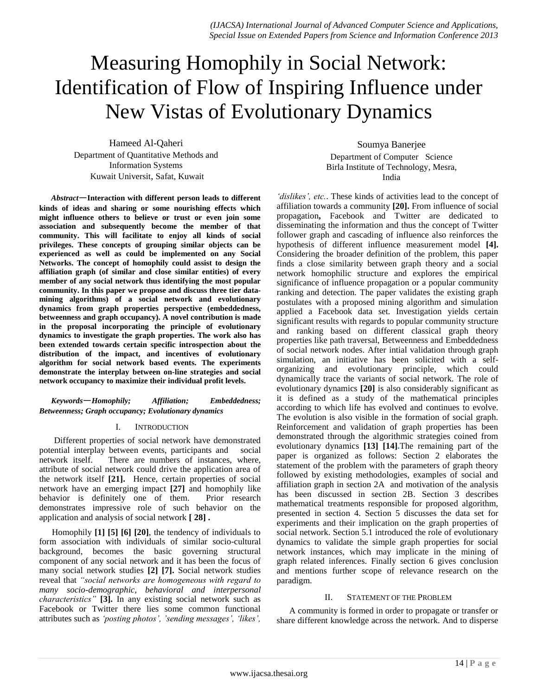# Measuring Homophily in Social Network: Identification of Flow of Inspiring Influence under New Vistas of Evolutionary Dynamics

Hameed Al-Qaheri Department of Quantitative Methods and Information Systems Kuwait Universit, Safat, Kuwait

*Abstract*—**Interaction with different person leads to different kinds of ideas and sharing or some nourishing effects which might influence others to believe or trust or even join some association and subsequently become the member of that community. This will facilitate to enjoy all kinds of social privileges. These concepts of grouping similar objects can be experienced as well as could be implemented on any Social Networks. The concept of homophily could assist to design the affiliation graph (of similar and close similar entities) of every member of any social network thus identifying the most popular community. In this paper we propose and discuss three tier datamining algorithms) of a social network and evolutionary dynamics from graph properties perspective (embeddedness, betweenness and graph occupancy). A novel contribution is made in the proposal incorporating the principle of evolutionary dynamics to investigate the graph properties. The work also has been extended towards certain specific introspection about the distribution of the impact, and incentives of evolutionary algorithm for social network based events. The experiments demonstrate the interplay between on-line strategies and social network occupancy to maximize their individual profit levels.**

#### *Keywords*—*Homophily; Affiliation; Embeddedness; Betweenness; Graph occupancy; Evolutionary dynamics*

### I. INTRODUCTION

Different properties of social network have demonstrated potential interplay between events, participants and social network itself. There are numbers of instances, where, attribute of social network could drive the application area of the network itself **[21].** Hence, certain properties of social network have an emerging impact **[27]** and homophily like behavior is definitely one of them. Prior research demonstrates impressive role of such behavior on the application and analysis of social network **[ 28] .**

Homophily **[1] [5] [6] [20]**, the tendency of individuals to form association with individuals of similar socio-cultural background, becomes the basic governing structural component of any social network and it has been the focus of many social network studies **[2] [7].** Social network studies reveal that *"social networks are homogeneous with regard to many socio-demographic, behavioral and interpersonal characteristics"* **[3].** In any existing social network such as Facebook or Twitter there lies some common functional attributes such as *'posting photos', 'sending messages', 'likes',* 

Soumya Banerjee Department of Computer Science Birla Institute of Technology, Mesra, India

*'dislikes', etc.*. These kinds of activities lead to the concept of affiliation towards a community **[20].** From influence of social propagation**,** Facebook and Twitter are dedicated to disseminating the information and thus the concept of Twitter follower graph and cascading of influence also reinforces the hypothesis of different influence measurement model **[4].**  Considering the broader definition of the problem, this paper finds a close similarity between graph theory and a social network homophilic structure and explores the empirical significance of influence propagation or a popular community ranking and detection. The paper validates the existing graph postulates with a proposed mining algorithm and simulation applied a Facebook data set. Investigation yields certain significant results with regards to popular community structure and ranking based on different classical graph theory properties like path traversal, Betweenness and Embeddedness of social network nodes. After intial validation through graph simulation, an initiative has been solicited with a selforganizing and evolutionary principle, which could dynamically trace the variants of social network. The role of evolutionary dynamics **[20]** is also considerably significant as it is defined as a study of the mathematical principles according to which life has evolved and continues to evolve. The evolution is also visible in the formation of social graph. Reinforcement and validation of graph properties has been demonstrated through the algorithmic strategies coined from evolutionary dynamics **[13] [14].**The remaining part of the paper is organized as follows: Section 2 elaborates the statement of the problem with the parameters of graph theory followed by existing methodologies, examples of social and affiliation graph in section 2A and motivation of the analysis has been discussed in section 2B. Section 3 describes mathematical treatments responsible for proposed algorithm, presented in section 4. Section 5 discusses the data set for experiments and their implication on the graph properties of social network. Section 5.1 introduced the role of evolutionary dynamics to validate the simple graph properties for social network instances, which may implicate in the mining of graph related inferences. Finally section 6 gives conclusion and mentions further scope of relevance research on the paradigm.

### II. STATEMENT OF THE PROBLEM

A community is formed in order to propagate or transfer or share different knowledge across the network. And to disperse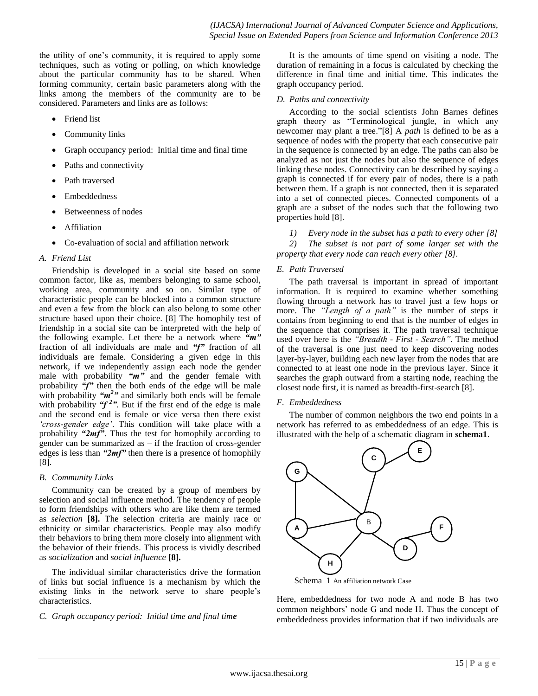the utility of one's community, it is required to apply some techniques, such as voting or polling, on which knowledge about the particular community has to be shared. When forming community, certain basic parameters along with the links among the members of the community are to be considered. Parameters and links are as follows:

- Friend list
- Community links
- Graph occupancy period: Initial time and final time
- Paths and connectivity
- Path traversed
- Embeddedness
- Betweenness of nodes
- Affiliation
- Co-evaluation of social and affiliation network

## *A. Friend List*

Friendship is developed in a social site based on some common factor, like as, members belonging to same school, working area, community and so on. Similar type of characteristic people can be blocked into a common structure and even a few from the block can also belong to some other structure based upon their choice. [8] The homophily test of friendship in a social site can be interpreted with the help of the following example. Let there be a network where *"m"* fraction of all individuals are male and *"f"* fraction of all individuals are female. Considering a given edge in this network, if we independently assign each node the gender male with probability *"m"* and the gender female with probability *"f"* then the both ends of the edge will be male with probability  $\mathbf{m}^2$  and similarly both ends will be female with probability  $f^2$ . But if the first end of the edge is male and the second end is female or vice versa then there exist *'cross-gender edge'*. This condition will take place with a probability *"2mf"*. Thus the test for homophily according to gender can be summarized as – if the fraction of cross-gender edges is less than *"2mf"* then there is a presence of homophily [8].

### *B. Community Links*

Community can be created by a group of members by selection and social influence method. The tendency of people to form friendships with others who are like them are termed as *selection* **[8].** The selection criteria are mainly race or ethnicity or similar characteristics. People may also modify their behaviors to bring them more closely into alignment with the behavior of their friends. This process is vividly described as *socialization* and *social influence* **[8].**

The individual similar characteristics drive the formation of links but social influence is a mechanism by which the existing links in the network serve to share people's characteristics.

### *C. Graph occupancy period: Initial time and final time*

It is the amounts of time spend on visiting a node. The duration of remaining in a focus is calculated by checking the difference in final time and initial time. This indicates the graph occupancy period.

## *D. Paths and connectivity*

According to the social scientists John Barnes defines graph theory as "Terminological jungle, in which any newcomer may plant a tree."[8] A *path* is defined to be as a sequence of nodes with the property that each consecutive pair in the sequence is connected by an edge. The paths can also be analyzed as not just the nodes but also the sequence of edges linking these nodes. Connectivity can be described by saying a graph is connected if for every pair of nodes, there is a path between them. If a graph is not connected, then it is separated into a set of connected pieces. Connected components of a graph are a subset of the nodes such that the following two properties hold [8].

*1) Every node in the subset has a path to every other [8]*

*2) The subset is not part of some larger set with the property that every node can reach every other [8].*

## *E. Path Traversed*

The path traversal is important in spread of important information. It is required to examine whether something flowing through a network has to travel just a few hops or more. The *"Length of a path"* is the number of steps it contains from beginning to end that is the number of edges in the sequence that comprises it. The path traversal technique used over here is the *"Breadth - First - Search"*. The method of the traversal is one just need to keep discovering nodes layer-by-layer, building each new layer from the nodes that are connected to at least one node in the previous layer. Since it searches the graph outward from a starting node, reaching the closest node first, it is named as breadth-first-search [8].

## *F. Embeddedness*

The number of common neighbors the two end points in a network has referred to as embeddedness of an edge. This is illustrated with the help of a schematic diagram in **schema1**.



Schema 1 An affiliation network Case

Here, embeddedness for two node A and node B has two common neighbors' node G and node H. Thus the concept of embeddedness provides information that if two individuals are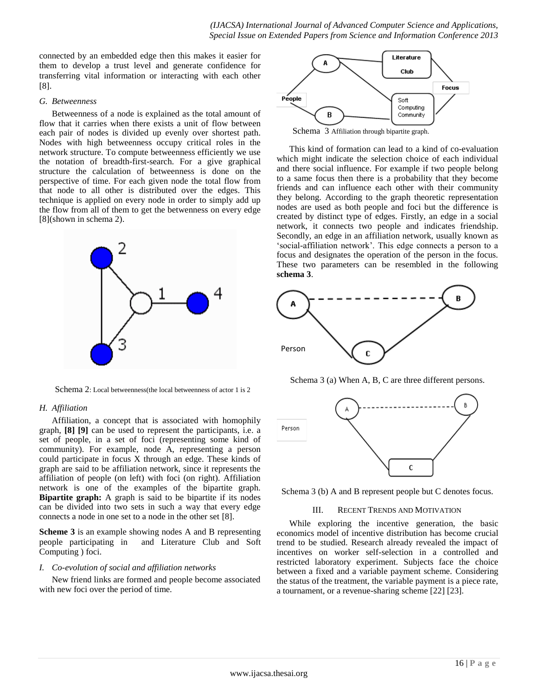connected by an embedded edge then this makes it easier for them to develop a trust level and generate confidence for transferring vital information or interacting with each other [8].

#### *G. Betweenness*

Betweenness of a node is explained as the total amount of flow that it carries when there exists a unit of flow between each pair of nodes is divided up evenly over shortest path. Nodes with high betweenness occupy critical roles in the network structure. To compute betweenness efficiently we use the notation of breadth-first-search. For a give graphical structure the calculation of betweenness is done on the perspective of time. For each given node the total flow from that node to all other is distributed over the edges. This technique is applied on every node in order to simply add up the flow from all of them to get the betwenness on every edge [8](shown in schema 2).



Schema 2: Local betweenness(the local betweenness of actor 1 is 2

#### *H. Affiliation*

Affiliation, a concept that is associated with homophily graph, **[8] [9]** can be used to represent the participants, i.e. a set of people, in a set of foci (representing some kind of community). For example, node A, representing a person could participate in focus X through an edge. These kinds of graph are said to be affiliation network, since it represents the affiliation of people (on left) with foci (on right). Affiliation network is one of the examples of the bipartite graph. **Bipartite graph:** A graph is said to be bipartite if its nodes can be divided into two sets in such a way that every edge connects a node in one set to a node in the other set [8].

**Scheme 3** is an example showing nodes A and B representing people participating in and Literature Club and Soft Computing ) foci.

#### *I. Co-evolution of social and affiliation networks*

New friend links are formed and people become associated with new foci over the period of time.



This kind of formation can lead to a kind of co-evaluation which might indicate the selection choice of each individual and there social influence. For example if two people belong to a same focus then there is a probability that they become friends and can influence each other with their community they belong. According to the graph theoretic representation nodes are used as both people and foci but the difference is created by distinct type of edges. Firstly, an edge in a social network, it connects two people and indicates friendship. Secondly, an edge in an affiliation network, usually known as 'social-affiliation network'. This edge connects a person to a focus and designates the operation of the person in the focus. These two parameters can be resembled in the following **schema 3**.



Schema 3 (a) When A, B, C are three different persons.



Schema 3 (b) A and B represent people but C denotes focus.

#### III. RECENT TRENDS AND MOTIVATION

While exploring the incentive generation, the basic economics model of incentive distribution has become crucial trend to be studied. Research already revealed the impact of incentives on worker self-selection in a controlled and restricted laboratory experiment. Subjects face the choice between a fixed and a variable payment scheme. Considering the status of the treatment, the variable payment is a piece rate, a tournament, or a revenue-sharing scheme [22] [23].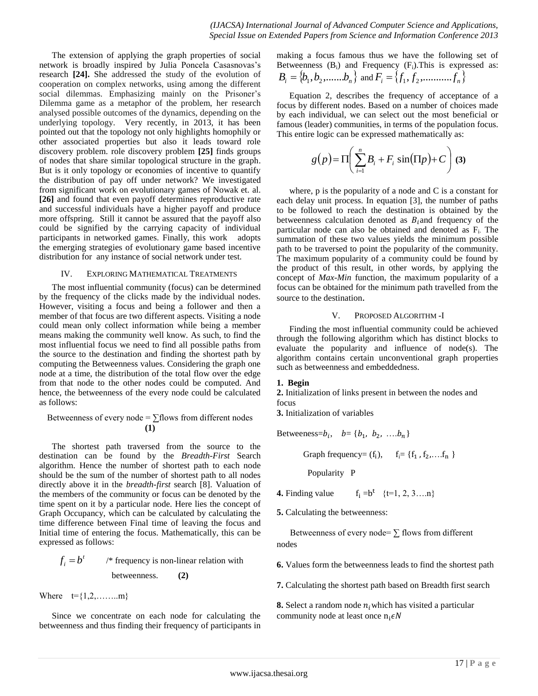The extension of applying the graph properties of social network is broadly inspired by Julia Poncela Casasnovas's research **[24].** She addressed the study of the evolution of cooperation on complex networks, using among the different social dilemmas. Emphasizing mainly on the Prisoner's Dilemma game as a metaphor of the problem, her research analysed possible outcomes of the dynamics, depending on the underlying topology. Very recently, in 2013, it has been pointed out that the topology not only highlights homophily or other associated properties but also it leads toward role discovery problem. role discovery problem **[25]** finds groups of nodes that share similar topological structure in the graph. But is it only topology or economies of incentive to quantify the distribution of pay off under network? We investigated from significant work on evolutionary games of Nowak et. al. **[26]** and found that even payoff determines reproductive rate and successful individuals have a higher payoff and produce more offspring. Still it cannot be assured that the payoff also could be signified by the carrying capacity of individual participants in networked games. Finally, this work adopts the emerging strategies of evolutionary game based incentive distribution for any instance of social network under test.

#### IV. EXPLORING MATHEMATICAL TREATMENTS

The most influential community (focus) can be determined by the frequency of the clicks made by the individual nodes. However, visiting a focus and being a follower and then a member of that focus are two different aspects. Visiting a node could mean only collect information while being a member means making the community well know. As such, to find the most influential focus we need to find all possible paths from the source to the destination and finding the shortest path by computing the Betweenness values. Considering the graph one node at a time, the distribution of the total flow over the edge from that node to the other nodes could be computed. And hence, the betweenness of the every node could be calculated as follows:

#### Betweenness of every node =  $\Sigma$ flows from different nodes **(1)**

The shortest path traversed from the source to the destination can be found by the *Breadth-First* Search algorithm. Hence the number of shortest path to each node should be the sum of the number of shortest path to all nodes directly above it in the *breadth-first* search [8]. Valuation of the members of the community or focus can be denoted by the time spent on it by a particular node. Here lies the concept of Graph Occupancy, which can be calculated by calculating the time difference between Final time of leaving the focus and Initial time of entering the focus. Mathematically, this can be expressed as follows:

$$
f_i = b'
$$
 /\* frequency is non-linear relation with  
betweenness. (2)

Where  $t = \{1, 2, \ldots, m\}$ 

Since we concentrate on each node for calculating the betweenness and thus finding their frequency of participants in making a focus famous thus we have the following set of Betweenness  $(B_i)$  and Frequency  $(F_i)$ . This is expressed as:  $B_i = \{b_1, b_2, \dots, b_n\}$  and  $F_i = \{f_1, f_2, \dots, f_n\}$ 

Equation 2, describes the frequency of acceptance of a focus by different nodes. Based on a number of choices made by each individual, we can select out the most beneficial or famous (leader) communities, in terms of the population focus. This entire logic can be expressed mathematically as:

$$
g(p) = \Pi \left( \sum_{i=1}^{n} B_i + F_i \sin(\Pi p) + C \right)
$$
 (3)

where, p is the popularity of a node and C is a constant for each delay unit process. In equation [3], the number of paths to be followed to reach the destination is obtained by the betweenness calculation denoted as  $B_i$  and frequency of the particular node can also be obtained and denoted as  $F_i$ . The summation of these two values yields the minimum possible path to be traversed to point the popularity of the community. The maximum popularity of a community could be found by the product of this result, in other words, by applying the concept of *Max-Min* function, the maximum popularity of a focus can be obtained for the minimum path travelled from the source to the destination.

#### V. PROPOSED ALGORITHM -I

Finding the most influential community could be achieved through the following algorithm which has distinct blocks to evaluate the popularity and influence of node(s). The algorithm contains certain unconventional graph properties such as betweenness and embeddedness.

#### **1. Begin**

**2.** Initialization of links present in between the nodes and focus

**3.** Initialization of variables

Betweeness= $b_i$ ,  $b = \{b_1, b_2, ..., b_n\}$ 

Graph frequency=  $(f_i)$ ,  $f_i = \{f_1, f_2,...f_n\}$ 

Popularity P

**4.** Finding value  $t \{t=1, 2, 3, \ldots n\}$ 

**5.** Calculating the betweenness:

Betweenness of every node=  $\Sigma$  flows from different nodes

**6.** Values form the betweenness leads to find the shortest path

**7.** Calculating the shortest path based on Breadth first search

**8.** Select a random node  $n_i$  which has visited a particular community node at least once  $n_i \in N$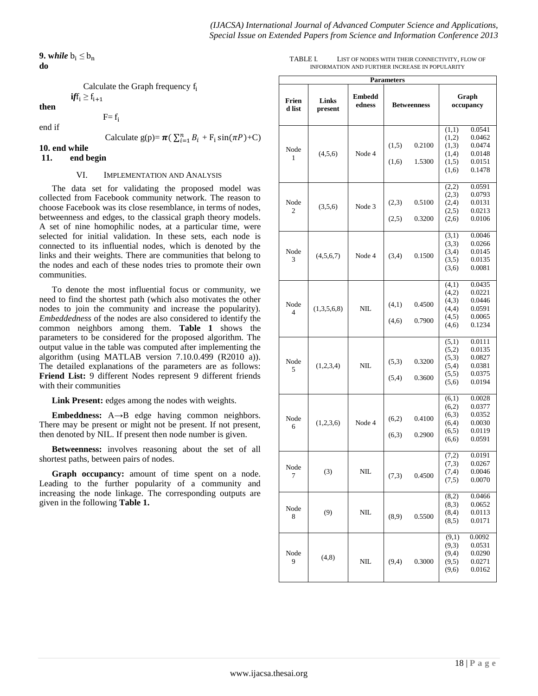**9.** while  $b_i \leq b_n$ **do**

> Calculate the Graph frequency  $f_i$  $\mathbf{i} f f_i \geq f_{i+1}$

**then**

end if

$$
f_{\rm{max}}
$$

 $F=f_i$ 

Calculate g(p)=  $\pi(\sum_{i=1}^n B_i + F_i \sin(\pi P) + C)$ 

**10. end while 11. end begin**

#### VI. IMPLEMENTATION AND ANALYSIS

The data set for validating the proposed model was collected from Facebook community network. The reason to choose Facebook was its close resemblance, in terms of nodes, betweenness and edges, to the classical graph theory models. A set of nine homophilic nodes, at a particular time, were selected for initial validation. In these sets, each node is connected to its influential nodes, which is denoted by the links and their weights. There are communities that belong to the nodes and each of these nodes tries to promote their own communities.

To denote the most influential focus or community, we need to find the shortest path (which also motivates the other nodes to join the community and increase the popularity). *Embeddedness* of the nodes are also considered to identify the common neighbors among them. **Table 1** shows the parameters to be considered for the proposed algorithm. The output value in the table was computed after implementing the algorithm (using MATLAB version 7.10.0.499 (R2010 a)). The detailed explanations of the parameters are as follows: **Friend List:** 9 different Nodes represent 9 different friends with their communities

Link Present: edges among the nodes with weights.

**Embeddness:** A→B edge having common neighbors. There may be present or might not be present. If not present, then denoted by NIL. If present then node number is given.

**Betweenness:** involves reasoning about the set of all shortest paths, between pairs of nodes.

**Graph occupancy:** amount of time spent on a node. Leading to the further popularity of a community and increasing the node linkage. The corresponding outputs are given in the following **Table 1.**

| TABLE I. | LIST OF NODES WITH THEIR CONNECTIVITY, FLOW OF |  |
|----------|------------------------------------------------|--|
|          | INFORMATION AND FURTHER INCREASE IN POPULARITY |  |

| <b>Parameters</b>      |                  |                         |                |                    |                                                    |                                                          |
|------------------------|------------------|-------------------------|----------------|--------------------|----------------------------------------------------|----------------------------------------------------------|
| Frien<br>d list        | Links<br>present | <b>Embedd</b><br>edness |                | <b>Betweenness</b> |                                                    | Graph<br>occupancy                                       |
| Node<br>1              | (4,5,6)          | Node 4                  | (1,5)<br>(1,6) | 0.2100<br>1.5300   | (1,1)<br>(1,2)<br>(1,3)<br>(1,4)<br>(1,5)<br>(1,6) | 0.0541<br>0.0462<br>0.0474<br>0.0148<br>0.0151<br>0.1478 |
| Node<br>2              | (3,5,6)          | Node 3                  | (2,3)<br>(2,5) | 0.5100<br>0.3200   | (2,2)<br>(2,3)<br>(2,4)<br>(2,5)<br>(2,6)          | 0.0591<br>0.0793<br>0.0131<br>0.0213<br>0.0106           |
| Node<br>3              | (4,5,6,7)        | Node 4                  | (3,4)          | 0.1500             | (3,1)<br>(3,3)<br>(3,4)<br>(3,5)<br>(3,6)          | 0.0046<br>0.0266<br>0.0145<br>0.0135<br>0.0081           |
| Node<br>$\overline{4}$ | (1,3,5,6,8)      | NII.                    | (4,1)<br>(4,6) | 0.4500<br>0.7900   | (4,1)<br>(4,2)<br>(4,3)<br>(4,4)<br>(4,5)<br>(4,6) | 0.0435<br>0.0221<br>0.0446<br>0.0591<br>0.0065<br>0.1234 |
| Node<br>5              | (1,2,3,4)        | <b>NIL</b>              | (5,3)<br>(5,4) | 0.3200<br>0.3600   | (5,1)<br>(5,2)<br>(5,3)<br>(5,4)<br>(5,5)<br>(5,6) | 0.0111<br>0.0135<br>0.0827<br>0.0381<br>0.0375<br>0.0194 |
| Node<br>6              | (1,2,3,6)        | Node 4                  | (6,2)<br>(6,3) | 0.4100<br>0.2900   | (6,1)<br>(6,2)<br>(6,3)<br>(6,4)<br>(6,5)<br>(6,6) | 0.0028<br>0.0377<br>0.0352<br>0.0030<br>0.0119<br>0.0591 |
| Node<br>7              | (3)              | NIL                     | (7,3)          | 0.4500             | (7,2)<br>(7,3)<br>(7,4)<br>(7,5)                   | 0.0191<br>0.0267<br>0.0046<br>0.0070                     |
| Node<br>8              | (9)              | NIL                     | (8,9)          | 0.5500             | (8,2)<br>(8,3)<br>(8,4)<br>(8,5)                   | 0.0466<br>0.0652<br>0.0113<br>0.0171                     |
| Node<br>9              | (4,8)            | $\text{NIL}$            | (9,4)          | 0.3000             | (9,1)<br>(9,3)<br>(9,4)<br>(9,5)<br>(9,6)          | 0.0092<br>0.0531<br>0.0290<br>0.0271<br>0.0162           |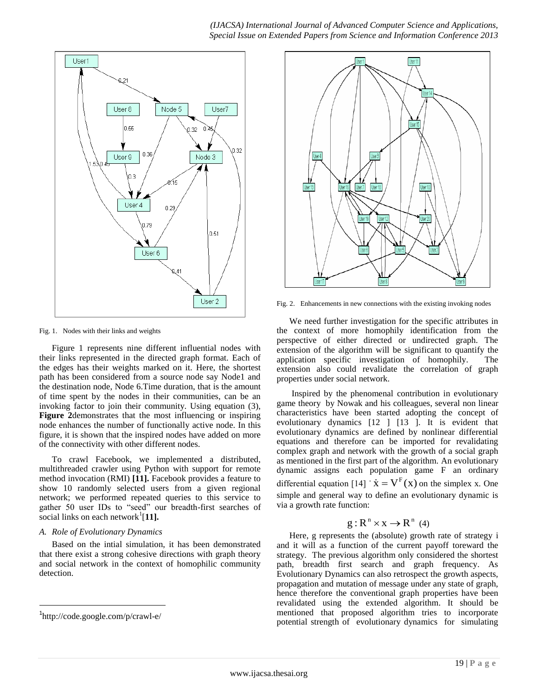

Fig. 1. Nodes with their links and weights

Figure 1 represents nine different influential nodes with their links represented in the directed graph format. Each of the edges has their weights marked on it. Here, the shortest path has been considered from a source node say Node1 and the destination node, Node 6.Time duration, that is the amount of time spent by the nodes in their communities, can be an invoking factor to join their community. Using equation (3), **Figure 2**demonstrates that the most influencing or inspiring node enhances the number of functionally active node. In this figure, it is shown that the inspired nodes have added on more of the connectivity with other different nodes.

To crawl Facebook, we implemented a distributed, multithreaded crawler using Python with support for remote method invocation (RMI) **[11].** Facebook provides a feature to show 10 randomly selected users from a given regional network; we performed repeated queries to this service to gather 50 user IDs to "seed" our breadth-first searches of social links on each network<sup>1</sup>[11].

#### *A. Role of Evolutionary Dynamics*

Based on the intial simulation, it has been demonstrated that there exist a strong cohesive directions with graph theory and social network in the context of homophilic community detection.

 $\overline{\phantom{a}}$ 



*(IJACSA) International Journal of Advanced Computer Science and Applications,* 

Fig. 2. Enhancements in new connections with the existing invoking nodes

We need further investigation for the specific attributes in the context of more homophily identification from the perspective of either directed or undirected graph. The extension of the algorithm will be significant to quantify the application specific investigation of homophily. The extension also could revalidate the correlation of graph properties under social network.

Inspired by the phenomenal contribution in evolutionary game theory by Nowak and his colleagues, several non linear characteristics have been started adopting the concept of evolutionary dynamics [12 ] [13 ]. It is evident that evolutionary dynamics are defined by nonlinear differential equations and therefore can be imported for revalidating complex graph and network with the growth of a social graph as mentioned in the first part of the algorithm. An evolutionary dynamic assigns each population game F an ordinary differential equation [14]  $\dot{x} = V^F(x)$  on the simplex x. One simple and general way to define an evolutionary dynamic is via a growth rate function:

## $g: R^{n} \times x \rightarrow R^{n}$  (4)

Here, g represents the (absolute) growth rate of strategy i and it will as a function of the current payoff toreward the strategy. The previous algorithm only considered the shortest path, breadth first search and graph frequency. As Evolutionary Dynamics can also retrospect the growth aspects, propagation and mutation of message under any state of graph, hence therefore the conventional graph properties have been revalidated using the extended algorithm. It should be mentioned that proposed algorithm tries to incorporate potential strength of evolutionary dynamics for simulating

<sup>1</sup> http://code.google.com/p/crawl-e/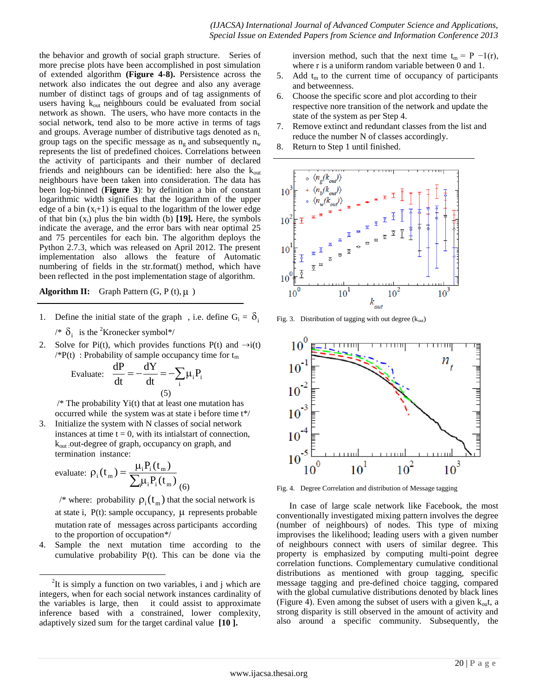the behavior and growth of social graph structure. Series of more precise plots have been accomplished in post simulation of extended algorithm **(Figure 4-8).** Persistence across the network also indicates the out degree and also any average number of distinct tags of groups and of tag assignments of users having  $k_{out}$  neighbours could be evaluated from social network as shown. The users, who have more contacts in the social network, tend also to be more active in terms of tags and groups. Average number of distributive tags denoted as  $n_t$ . group tags on the specific message as  $n<sub>s</sub>$  and subsequently  $n<sub>w</sub>$ represents the list of predefined choices. Correlations between the activity of participants and their number of declared friends and neighbours can be identified: here also the k<sub>out</sub> neighbours have been taken into consideration. The data has been log-binned (**Figure 3**): by definition a bin of constant logarithmic width signifies that the logarithm of the upper edge of a bin  $(x<sub>i</sub>+1)$  is equal to the logarithm of the lower edge of that bin  $(x_i)$  plus the bin width (b)  $[19]$ . Here, the symbols indicate the average, and the error bars with near optimal 25 and 75 percentiles for each bin. The algorithm deploys the Python 2.7.3, which was released on April 2012. The present implementation also allows the feature of Automatic numbering of fields in the str.format() method, which have been reflected in the post implementation stage of algorithm.

## **Algorithm II:** Graph Pattern  $(G, P(t), \mu)$

- 1. Define the initial state of the graph, i.e. define  $G_i = \delta_i$  $\sqrt{*}$   $\delta_i$  is the <sup>2</sup>Kronecker symbol\*/
- 2. Solve for Pi(t), which provides functions  $P(t)$  and  $\neg$ i(t)  $\sqrt{\P}P(t)$ : Probability of sample occupancy time for t<sub>m</sub>

Evaluate: 
$$
\frac{dP}{dt} = -\frac{dY}{dt} = -\sum_{i} \mu_i P_i
$$
(5)

 $/*$  The probability Yi(t) that at least one mutation has occurred while the system was at state i before time t\*/

3. Initialize the system with N classes of social network instances at time  $t = 0$ , with its intial start of connection, k<sub>out :</sub>out-degree of graph, occupancy on graph, and termination instance:

$$
evaluate: \rho_{i}(t_{m}) = \frac{\mu_{i}P_{i}(t_{m})}{\sum_{i}\mu_{i}P_{i}(t_{m})}_{(6)}
$$

 $\overline{\phantom{a}}$ 

/\* where: probability  $\rho_i(t_m)$  that the social network is at state i,  $P(t)$ : sample occupancy,  $\mu$  represents probable mutation rate of messages across participants according to the proportion of occupation\*/

4. Sample the next mutation time according to the cumulative probability P(t). This can be done via the inversion method, such that the next time  $t_m = P -1(r)$ , where r is a uniform random variable between 0 and 1.

- 5. Add  $t_m$  to the current time of occupancy of participants and betweenness.
- 6. Choose the specific score and plot according to their respective nore transition of the network and update the state of the system as per Step 4.
- 7. Remove extinct and redundant classes from the list and reduce the number N of classes accordingly.
- 8. Return to Step 1 until finished.



Fig. 3. Distribution of tagging with out degree  $(k_{out})$ 



Fig. 4. Degree Correlation and distribution of Message tagging

In case of large scale network like Facebook, the most conventionally investigated mixing pattern involves the degree (number of neighbours) of nodes. This type of mixing improvises the likelihood; leading users with a given number of neighbours connect with users of similar degree. This property is emphasized by computing multi-point degree correlation functions. Complementary cumulative conditional distributions as mentioned with group tagging, specific message tagging and pre-defined choice tagging, compared with the global cumulative distributions denoted by black lines (Figure 4). Even among the subset of users with a given  $k_{out}$ , a strong disparity is still observed in the amount of activity and also around a specific community. Subsequently, the

 $2$ It is simply a function on two variables, i and j which are integers, when for each social network instances cardinality of the variables is large, then it could assist to approximate inference based with a constrained, lower complexity, adaptively sized sum for the target cardinal value **[10 ].**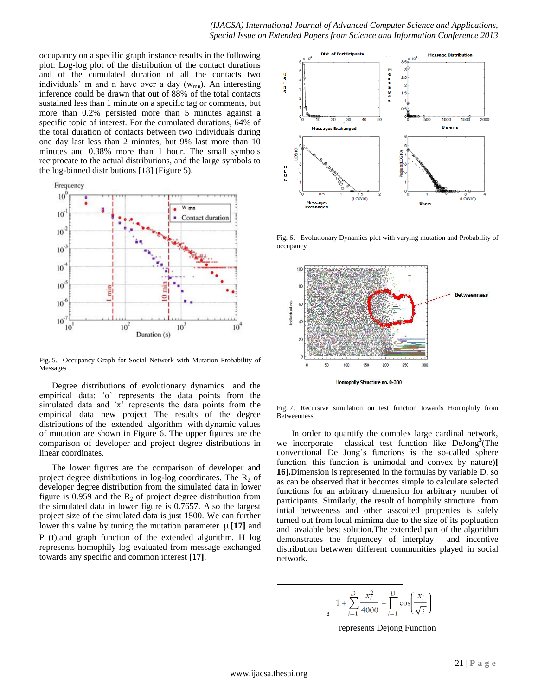occupancy on a specific graph instance results in the following plot: Log-log plot of the distribution of the contact durations and of the cumulated duration of all the contacts two individuals' m and n have over a day  $(w_{mn})$ . An interesting inference could be drawn that out of 88% of the total contacts sustained less than 1 minute on a specific tag or comments, but more than 0.2% persisted more than 5 minutes against a specific topic of interest. For the cumulated durations, 64% of the total duration of contacts between two individuals during one day last less than 2 minutes, but 9% last more than 10 minutes and 0.38% more than 1 hour. The small symbols reciprocate to the actual distributions, and the large symbols to the log-binned distributions [18] (Figure 5).



Fig. 5. Occupancy Graph for Social Network with Mutation Probability of Messages

Degree distributions of evolutionary dynamics and the empirical data: 'o' represents the data points from the simulated data and 'x' represents the data points from the empirical data new project The results of the degree distributions of the extended algorithm with dynamic values of mutation are shown in Figure 6. The upper figures are the comparison of developer and project degree distributions in linear coordinates.

The lower figures are the comparison of developer and project degree distributions in log-log coordinates. The  $R_2$  of developer degree distribution from the simulated data in lower figure is 0.959 and the  $R_2$  of project degree distribution from the simulated data in lower figure is 0.7657. Also the largest project size of the simulated data is just 1500. We can further lower this value by tuning the mutation parameter  $\mu$  [17] and P (t),and graph function of the extended algorithm. H log represents homophily log evaluated from message exchanged towards any specific and common interest [**17]**.



Fig. 6. Evolutionary Dynamics plot with varying mutation and Probability of occupancy



Fig. 7. Recursive simulation on test function towards Homophily from Betweenness

In order to quantify the complex large cardinal network, we incorporate classical test function like DeJong**<sup>3</sup>** (The conventional De Jong's functions is the so-called sphere function, this function is unimodal and convex by nature)**[ 16].**Dimension is represented in the formulas by variable D, so as can be observed that it becomes simple to calculate selected functions for an arbitrary dimension for arbitrary number of participants. Similarly, the result of homphily structure from intial betweeness and other asscoited properties is safely turned out from local mimima due to the size of its popluation and avaiable best solution.The extended part of the algorithm demonstrates the frquencey of interplay and incentive distribution betwwen different communities played in social network.

$$
1 + \sum_{i=1}^{D} \frac{x_i^2}{4000} - \prod_{i=1}^{D} \cos\left(\frac{x_i}{\sqrt{i}}\right)
$$

represents Dejong Function

 $\overline{a}$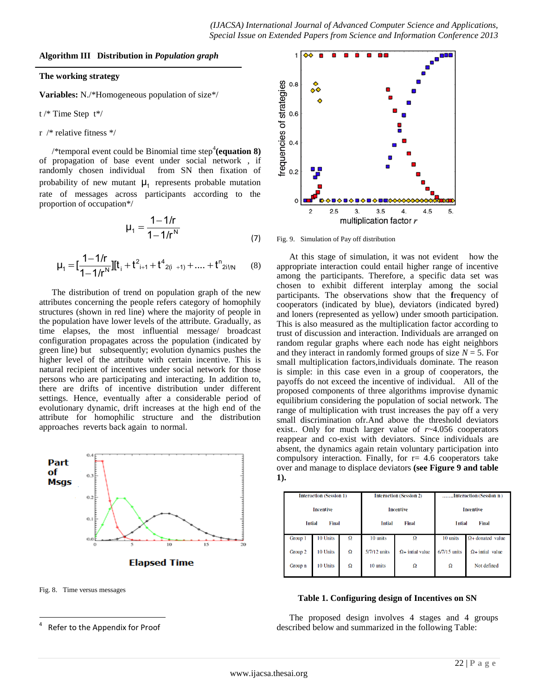#### **Algorithm III Distribution in** *Population graph*

#### **The working strategy**

**Variables:** N./\*Homogeneous population of size\*/

t /\* Time Step t\*/

r /\* relative fitness \*/

<sup>\*</sup>temporal event could be Binomial time step<sup>4</sup>(equation 8) of propagation of base event under social network , if randomly chosen individual from SN then fixation of probability of new mutant  $\mu_1$  represents probable mutation rate of messages across participants according to the proportion of occupation\*/

$$
\mu_1 = \frac{1-1/r}{1-1/r^N}
$$

(7)

$$
\mu_1 = \left[\frac{1 - 1/r}{1 - 1/r^N}\right] \left[t_i + t^2_{i+1} + t^4_{2(i+1)} + \dots + t^n_{2i!/N}\right] \tag{8}
$$

The distribution of trend on population graph of the new attributes concerning the people refers category of homophily structures (shown in red line) where the majority of people in the population have lower levels of the attribute. Gradually, as time elapses, the most influential message/ broadcast configuration propagates across the population (indicated by green line) but subsequently; evolution dynamics pushes the higher level of the attribute with certain incentive. This is natural recipient of incentives under social network for those persons who are participating and interacting. In addition to, there are drifts of incentive distribution under different settings. Hence, eventually after a considerable period of evolutionary dynamic, drift increases at the high end of the attribute for homophilic structure and the distribution approaches reverts back again to normal.



Fig. 8. Time versus messages

 $\overline{\phantom{a}}$ 



Fig. 9. Simulation of Pay off distribution

At this stage of simulation, it was not evident how the appropriate interaction could entail higher range of incentive among the participants. Therefore, a specific data set was chosen to exhibit different interplay among the social participants. The observations show that the **f**requency of cooperators (indicated by blue), deviators (indicated byred) and loners (represented as yellow) under smooth participation. This is also measured as the multiplication factor according to trust of discussion and interaction. Individuals are arranged on random regular graphs where each node has eight neighbors and they interact in randomly formed groups of size  $N = 5$ . For small multiplication factors,individuals dominate. The reason is simple: in this case even in a group of cooperators, the payoffs do not exceed the incentive of individual. All of the proposed components of three algorithms improvise dynamic equilibrium considering the population of social network. The range of multiplication with trust increases the pay off a very small discrimination ofr.And above the threshold deviators exist.. Only for much larger value of *r*~4.056 cooperators reappear and co-exist with deviators. Since individuals are absent, the dynamics again retain voluntary participation into compulsory interaction. Finally, for  $r = 4.6$  cooperators take over and manage to displace deviators **(see Figure 9 and table 1).**

| <b>Interaction (Session 1)</b> |          |               | <b>Interaction (Session 2)</b> | Interaction (Session n) |                |                          |
|--------------------------------|----------|---------------|--------------------------------|-------------------------|----------------|--------------------------|
| <b>Incentive</b>               |          |               | <b>Incentive</b>               | <b>Incentive</b>        |                |                          |
| Final<br><b>Intial</b>         |          | <b>Intial</b> | Final                          | <b>Intial</b><br>Final  |                |                          |
| Group 1                        | 10 Units | Ω             | 10 units                       | Ω                       | 10 units       | $\Omega$ + donated value |
| Group 2                        | 10 Units | Ω             | 5/7/12 units                   | $\Omega$ + intial value | $6/7/15$ units | $\Omega$ + intial value  |
| Group n                        | 10 Units | Ω             | 10 units                       | Ω                       | Ω              | Not defined              |

#### **Table 1. Configuring design of Incentives on SN**

The proposed design involves 4 stages and 4 groups described below and summarized in the following Table:

<sup>4</sup> Refer to the Appendix for Proof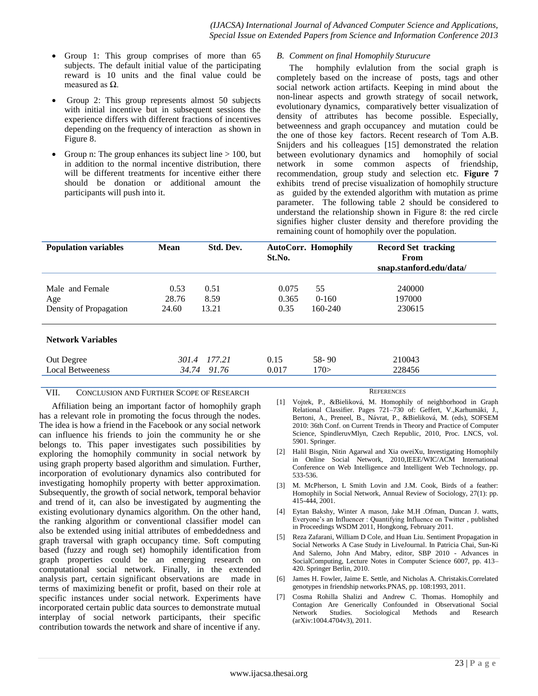- Group 1: This group comprises of more than 65 subjects. The default initial value of the participating reward is 10 units and the final value could be measured as  $Ω$ .
- Group 2: This group represents almost 50 subjects with initial incentive but in subsequent sessions the experience differs with different fractions of incentives depending on the frequency of interaction as shown in Figure 8.
- Group n: The group enhances its subject line  $> 100$ , but in addition to the normal incentive distribution, there will be different treatments for incentive either there should be donation or additional amount the participants will push into it.

#### *B. Comment on final Homophily Sturucure*

The homphily evlalution from the social graph is completely based on the increase of posts, tags and other social network action artifacts. Keeping in mind about the non-linear aspects and growth strategy of socail network, evolutionary dynamics, comparatively better visualization of density of attributes has become possible. Especially, betweenness and graph occupancey and mutation could be the one of those key factors. Recent research of Tom A.B. Snijders and his colleagues [15] demonstrated the relation between evolutionary dynamics and homophily of social network in some common aspects of friendship, recommendation, group study and selection etc. **Figure 7** exhibits trend of precise visualization of homophily structure as guided by the extended algorithm with mutation as prime parameter. The following table 2 should be considered to understand the relationship shown in Figure 8: the red circle signifies higher cluster density and therefore providing the remaining count of homophily over the population.

| <b>Population variables</b> | <b>Mean</b> | Std. Dev.   | St.No. | <b>AutoCorr. Homophily</b> | <b>Record Set tracking</b><br>From<br>snap.stanford.edu/data/ |
|-----------------------------|-------------|-------------|--------|----------------------------|---------------------------------------------------------------|
| Male and Female             | 0.53        | 0.51        | 0.075  | 55                         | 240000                                                        |
| Age                         | 28.76       | 8.59        | 0.365  | $0-160$                    | 197000                                                        |
| Density of Propagation      | 24.60       | 13.21       | 0.35   | 160-240                    | 230615                                                        |
| <b>Network Variables</b>    |             |             |        |                            |                                                               |
| Out Degree                  | 301.4       | 177.21      | 0.15   | $58 - 90$                  | 210043                                                        |
| <b>Local Betweeness</b>     |             | 34.74 91.76 | 0.017  | 170>                       | 228456                                                        |

## VII. CONCLUSION AND FURTHER SCOPE OF RESEARCH

Affiliation being an important factor of homophily graph has a relevant role in promoting the focus through the nodes. The idea is how a friend in the Facebook or any social network can influence his friends to join the community he or she belongs to. This paper investigates such possibilities by exploring the homophily community in social network by using graph property based algorithm and simulation. Further, incorporation of evolutionary dynamics also contributed for investigating homophily property with better approximation. Subsequently, the growth of social network, temporal behavior and trend of it, can also be investigated by augmenting the existing evolutionary dynamics algorithm. On the other hand, the ranking algorithm or conventional classifier model can also be extended using initial attributes of embeddedness and graph traversal with graph occupancy time. Soft computing based (fuzzy and rough set) homophily identification from graph properties could be an emerging research on computational social network. Finally, in the extended analysis part, certain significant observations are made in terms of maximizing benefit or profit, based on their role at specific instances under social network. Experiments have incorporated certain public data sources to demonstrate mutual interplay of social network participants, their specific contribution towards the network and share of incentive if any.

**REFERENCES** 

- [1] Vojtek, P., &Bieliková, M. Homophily of neighborhood in Graph Relational Classifier. Pages 721–730 of: Geffert, V.,Karhumäki, J., Bertoni, A., Preneel, B., Návrat, P., &Bieliková, M. (eds), SOFSEM 2010: 36th Conf. on Current Trends in Theory and Practice of Computer Science, SpindleruvMlyn, Czech Republic, 2010, Proc. LNCS, vol. 5901. Springer.
- [2] Halil Bisgin, Nitin Agarwal and Xia oweiXu, Investigating Homophily in Online Social Network, 2010,IEEE/WIC/ACM International Conference on Web Intelligence and Intelligent Web Technology, pp. 533-536.
- [3] M. McPherson, L Smith Lovin and J.M. Cook, Birds of a feather: Homophily in Social Network, Annual Review of Sociology, 27(1): pp. 415-444, 2001.
- [4] Eytan Bakshy, Winter A mason, Jake M.H .Ofman, Duncan J. watts, Everyone's an Influencer : Quantifying Influence on Twitter , published in Proceedings WSDM 2011, Hongkong, February 2011.
- [5] Reza Zafarani, William D Cole, and Huan Liu. Sentiment Propagation in Social Networks A Case Study in LiveJournal. In Patricia Chai, Sun-Ki And Salerno, John And Mabry, editor, SBP 2010 - Advances in SocialComputing, Lecture Notes in Computer Science 6007, pp. 413– 420. Springer Berlin, 2010.
- [6] James H. Fowler, Jaime E. Settle, and Nicholas A. Christakis.Correlated genotypes in friendship networks.PNAS, pp. 108:1993, 2011.
- [7] Cosma Rohilla Shalizi and Andrew C. Thomas. Homophily and Contagion Are Generically Confounded in Observational Social Sociological Methods (arXiv:1004.4704v3), 2011.